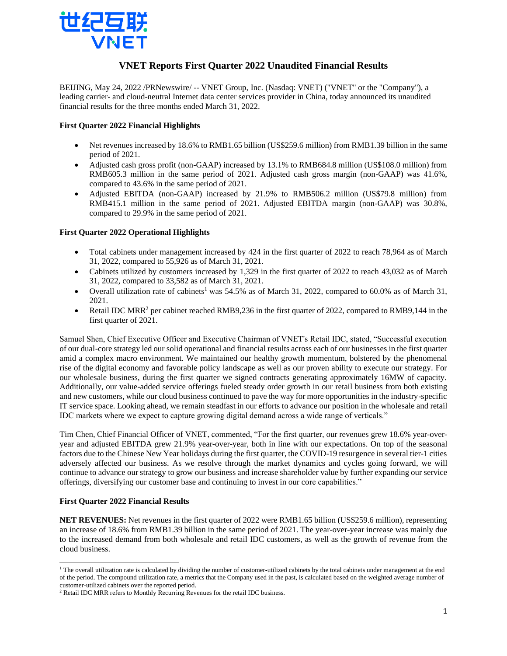

### **VNET Reports First Quarter 2022 Unaudited Financial Results**

BEIJING, May 24, 2022 /PRNewswire/ -- VNET Group, Inc. (Nasdaq: VNET) ("VNET" or the "Company"), a leading carrier- and cloud-neutral Internet data center services provider in China, today announced its unaudited financial results for the three months ended March 31, 2022.

#### **First Quarter 2022 Financial Highlights**

- Net revenues increased by 18.6% to RMB1.65 billion (US\$259.6 million) from RMB1.39 billion in the same period of 2021.
- Adjusted cash gross profit (non-GAAP) increased by 13.1% to RMB684.8 million (US\$108.0 million) from RMB605.3 million in the same period of 2021. Adjusted cash gross margin (non-GAAP) was 41.6%, compared to 43.6% in the same period of 2021.
- Adjusted EBITDA (non-GAAP) increased by 21.9% to RMB506.2 million (US\$79.8 million) from RMB415.1 million in the same period of 2021. Adjusted EBITDA margin (non-GAAP) was 30.8%, compared to 29.9% in the same period of 2021.

#### **First Quarter 2022 Operational Highlights**

- Total cabinets under management increased by 424 in the first quarter of 2022 to reach 78,964 as of March 31, 2022, compared to 55,926 as of March 31, 2021.
- Cabinets utilized by customers increased by 1,329 in the first quarter of 2022 to reach 43,032 as of March 31, 2022, compared to 33,582 as of March 31, 2021.
- Overall utilization rate of cabinets<sup>1</sup> was 54.5% as of March 31, 2022, compared to 60.0% as of March 31, 2021.
- Retail IDC MRR<sup>2</sup> per cabinet reached RMB9,236 in the first quarter of 2022, compared to RMB9,144 in the first quarter of 2021.

Samuel Shen, Chief Executive Officer and Executive Chairman of VNET's Retail IDC, stated, "Successful execution of our dual-core strategy led our solid operational and financial results across each of our businesses in the first quarter amid a complex macro environment. We maintained our healthy growth momentum, bolstered by the phenomenal rise of the digital economy and favorable policy landscape as well as our proven ability to execute our strategy. For our wholesale business, during the first quarter we signed contracts generating approximately 16MW of capacity. Additionally, our value-added service offerings fueled steady order growth in our retail business from both existing and new customers, while our cloud business continued to pave the way for more opportunities in the industry-specific IT service space. Looking ahead, we remain steadfast in our efforts to advance our position in the wholesale and retail IDC markets where we expect to capture growing digital demand across a wide range of verticals."

Tim Chen, Chief Financial Officer of VNET, commented, "For the first quarter, our revenues grew 18.6% year-overyear and adjusted EBITDA grew 21.9% year-over-year, both in line with our expectations. On top of the seasonal factors due to the Chinese New Year holidays during the first quarter, the COVID-19 resurgence in several tier-1 cities adversely affected our business. As we resolve through the market dynamics and cycles going forward, we will continue to advance our strategy to grow our business and increase shareholder value by further expanding our service offerings, diversifying our customer base and continuing to invest in our core capabilities."

#### **First Quarter 2022 Financial Results**

**NET REVENUES:** Net revenues in the first quarter of 2022 were RMB1.65 billion (US\$259.6 million), representing an increase of 18.6% from RMB1.39 billion in the same period of 2021. The year-over-year increase was mainly due to the increased demand from both wholesale and retail IDC customers, as well as the growth of revenue from the cloud business.

<sup>&</sup>lt;sup>1</sup> The overall utilization rate is calculated by dividing the number of customer-utilized cabinets by the total cabinets under management at the end of the period. The compound utilization rate, a metrics that the Company used in the past, is calculated based on the weighted average number of customer-utilized cabinets over the reported period.

<sup>&</sup>lt;sup>2</sup> Retail IDC MRR refers to Monthly Recurring Revenues for the retail IDC business.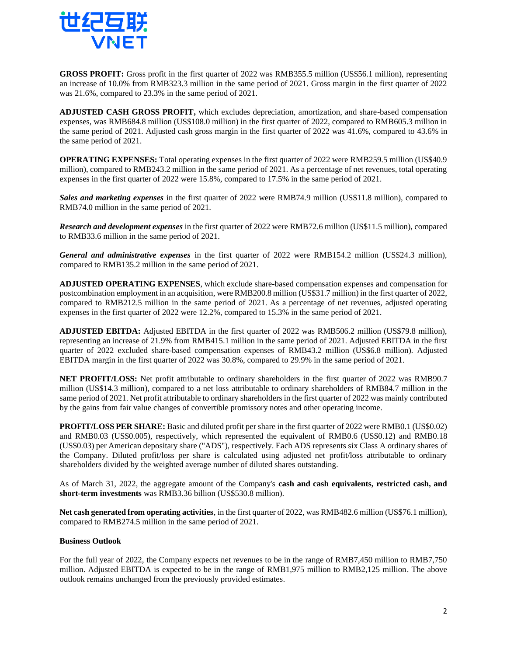

**GROSS PROFIT:** Gross profit in the first quarter of 2022 was RMB355.5 million (US\$56.1 million), representing an increase of 10.0% from RMB323.3 million in the same period of 2021. Gross margin in the first quarter of 2022 was 21.6%, compared to 23.3% in the same period of 2021.

**ADJUSTED CASH GROSS PROFIT,** which excludes depreciation, amortization, and share-based compensation expenses, was RMB684.8 million (US\$108.0 million) in the first quarter of 2022, compared to RMB605.3 million in the same period of 2021. Adjusted cash gross margin in the first quarter of 2022 was 41.6%, compared to 43.6% in the same period of 2021.

**OPERATING EXPENSES:** Total operating expenses in the first quarter of 2022 were RMB259.5 million (US\$40.9 million), compared to RMB243.2 million in the same period of 2021. As a percentage of net revenues, total operating expenses in the first quarter of 2022 were 15.8%, compared to 17.5% in the same period of 2021.

*Sales and marketing expenses* in the first quarter of 2022 were RMB74.9 million (US\$11.8 million), compared to RMB74.0 million in the same period of 2021.

*Research and development expenses* in the first quarter of 2022 were RMB72.6 million (US\$11.5 million), compared to RMB33.6 million in the same period of 2021.

General and administrative expenses in the first quarter of 2022 were RMB154.2 million (US\$24.3 million), compared to RMB135.2 million in the same period of 2021.

**ADJUSTED OPERATING EXPENSES**, which exclude share-based compensation expenses and compensation for postcombination employment in an acquisition, were RMB200.8 million (US\$31.7 million) in the first quarter of 2022, compared to RMB212.5 million in the same period of 2021. As a percentage of net revenues, adjusted operating expenses in the first quarter of 2022 were 12.2%, compared to 15.3% in the same period of 2021.

**ADJUSTED EBITDA:** Adjusted EBITDA in the first quarter of 2022 was RMB506.2 million (US\$79.8 million), representing an increase of 21.9% from RMB415.1 million in the same period of 2021. Adjusted EBITDA in the first quarter of 2022 excluded share-based compensation expenses of RMB43.2 million (US\$6.8 million). Adjusted EBITDA margin in the first quarter of 2022 was 30.8%, compared to 29.9% in the same period of 2021.

**NET PROFIT/LOSS:** Net profit attributable to ordinary shareholders in the first quarter of 2022 was RMB90.7 million (US\$14.3 million), compared to a net loss attributable to ordinary shareholders of RMB84.7 million in the same period of 2021. Net profit attributable to ordinary shareholders in the first quarter of 2022 was mainly contributed by the gains from fair value changes of convertible promissory notes and other operating income.

**PROFIT/LOSS PER SHARE:** Basic and diluted profit per share in the first quarter of 2022 were RMB0.1 (US\$0.02) and RMB0.03 (US\$0.005), respectively, which represented the equivalent of RMB0.6 (US\$0.12) and RMB0.18 (US\$0.03) per American depositary share ("ADS"), respectively. Each ADS represents six Class A ordinary shares of the Company. Diluted profit/loss per share is calculated using adjusted net profit/loss attributable to ordinary shareholders divided by the weighted average number of diluted shares outstanding.

As of March 31, 2022, the aggregate amount of the Company's **cash and cash equivalents, restricted cash, and short-term investments** was RMB3.36 billion (US\$530.8 million).

**Net cash generated from operating activities**, in the first quarter of 2022, was RMB482.6 million (US\$76.1 million), compared to RMB274.5 million in the same period of 2021.

#### **Business Outlook**

For the full year of 2022, the Company expects net revenues to be in the range of RMB7,450 million to RMB7,750 million. Adjusted EBITDA is expected to be in the range of RMB1,975 million to RMB2,125 million. The above outlook remains unchanged from the previously provided estimates.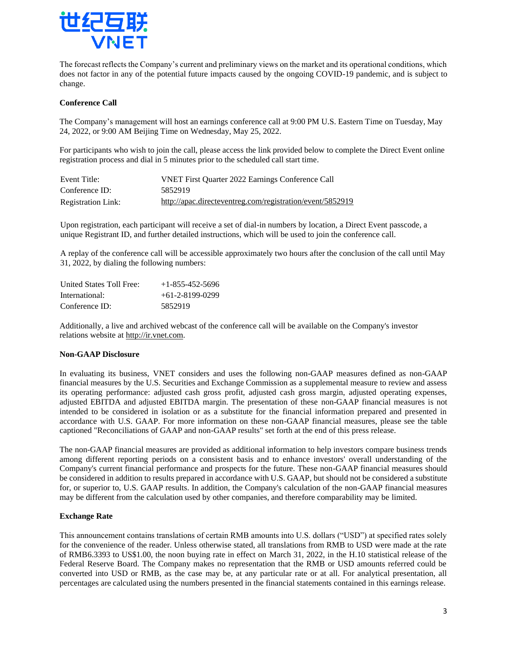

The forecast reflects the Company's current and preliminary views on the market and its operational conditions, which does not factor in any of the potential future impacts caused by the ongoing COVID-19 pandemic, and is subject to change.

#### **Conference Call**

The Company's management will host an earnings conference call at 9:00 PM U.S. Eastern Time on Tuesday, May 24, 2022, or 9:00 AM Beijing Time on Wednesday, May 25, 2022.

For participants who wish to join the call, please access the link provided below to complete the Direct Event online registration process and dial in 5 minutes prior to the scheduled call start time.

| Event Title:              | VNET First Quarter 2022 Earnings Conference Call          |
|---------------------------|-----------------------------------------------------------|
| Conference ID:            | 5852919                                                   |
| <b>Registration Link:</b> | http://apac.directeventreg.com/registration/event/5852919 |

Upon registration, each participant will receive a set of dial-in numbers by location, a Direct Event passcode, a unique Registrant ID, and further detailed instructions, which will be used to join the conference call.

A replay of the conference call will be accessible approximately two hours after the conclusion of the call until May 31, 2022, by dialing the following numbers:

| United States Toll Free: | $+1-855-452-5696$ |
|--------------------------|-------------------|
| International:           | $+61-2-8199-0299$ |
| Conference ID:           | 5852919           |

Additionally, a live and archived webcast of the conference call will be available on the Company's investor relations website a[t http://ir.vnet.com.](http://ir.vnet.com/)

#### **Non-GAAP Disclosure**

In evaluating its business, VNET considers and uses the following non-GAAP measures defined as non-GAAP financial measures by the U.S. Securities and Exchange Commission as a supplemental measure to review and assess its operating performance: adjusted cash gross profit, adjusted cash gross margin, adjusted operating expenses, adjusted EBITDA and adjusted EBITDA margin. The presentation of these non-GAAP financial measures is not intended to be considered in isolation or as a substitute for the financial information prepared and presented in accordance with U.S. GAAP. For more information on these non-GAAP financial measures, please see the table captioned "Reconciliations of GAAP and non-GAAP results" set forth at the end of this press release.

The non-GAAP financial measures are provided as additional information to help investors compare business trends among different reporting periods on a consistent basis and to enhance investors' overall understanding of the Company's current financial performance and prospects for the future. These non-GAAP financial measures should be considered in addition to results prepared in accordance with U.S. GAAP, but should not be considered a substitute for, or superior to, U.S. GAAP results. In addition, the Company's calculation of the non-GAAP financial measures may be different from the calculation used by other companies, and therefore comparability may be limited.

#### **Exchange Rate**

This announcement contains translations of certain RMB amounts into U.S. dollars ("USD") at specified rates solely for the convenience of the reader. Unless otherwise stated, all translations from RMB to USD were made at the rate of RMB6.3393 to US\$1.00, the noon buying rate in effect on March 31, 2022, in the H.10 statistical release of the Federal Reserve Board. The Company makes no representation that the RMB or USD amounts referred could be converted into USD or RMB, as the case may be, at any particular rate or at all. For analytical presentation, all percentages are calculated using the numbers presented in the financial statements contained in this earnings release.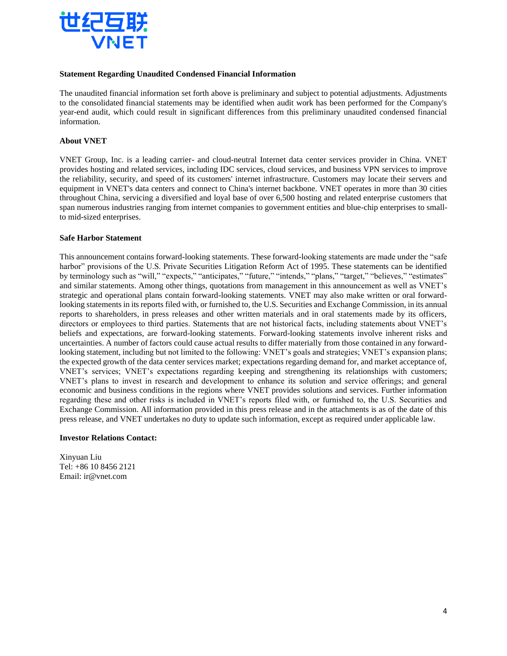

#### **Statement Regarding Unaudited Condensed Financial Information**

The unaudited financial information set forth above is preliminary and subject to potential adjustments. Adjustments to the consolidated financial statements may be identified when audit work has been performed for the Company's year-end audit, which could result in significant differences from this preliminary unaudited condensed financial information.

#### **About VNET**

VNET Group, Inc. is a leading carrier- and cloud-neutral Internet data center services provider in China. VNET provides hosting and related services, including IDC services, cloud services, and business VPN services to improve the reliability, security, and speed of its customers' internet infrastructure. Customers may locate their servers and equipment in VNET's data centers and connect to China's internet backbone. VNET operates in more than 30 cities throughout China, servicing a diversified and loyal base of over 6,500 hosting and related enterprise customers that span numerous industries ranging from internet companies to government entities and blue-chip enterprises to smallto mid-sized enterprises.

#### **Safe Harbor Statement**

This announcement contains forward-looking statements. These forward-looking statements are made under the "safe harbor" provisions of the U.S. Private Securities Litigation Reform Act of 1995. These statements can be identified by terminology such as "will," "expects," "anticipates," "future," "intends," "plans," "target," "believes," "estimates" and similar statements. Among other things, quotations from management in this announcement as well as VNET's strategic and operational plans contain forward-looking statements. VNET may also make written or oral forwardlooking statements in its reports filed with, or furnished to, the U.S. Securities and Exchange Commission, in its annual reports to shareholders, in press releases and other written materials and in oral statements made by its officers, directors or employees to third parties. Statements that are not historical facts, including statements about VNET's beliefs and expectations, are forward-looking statements. Forward-looking statements involve inherent risks and uncertainties. A number of factors could cause actual results to differ materially from those contained in any forwardlooking statement, including but not limited to the following: VNET's goals and strategies; VNET's expansion plans; the expected growth of the data center services market; expectations regarding demand for, and market acceptance of, VNET's services; VNET's expectations regarding keeping and strengthening its relationships with customers; VNET's plans to invest in research and development to enhance its solution and service offerings; and general economic and business conditions in the regions where VNET provides solutions and services. Further information regarding these and other risks is included in VNET's reports filed with, or furnished to, the U.S. Securities and Exchange Commission. All information provided in this press release and in the attachments is as of the date of this press release, and VNET undertakes no duty to update such information, except as required under applicable law.

#### **Investor Relations Contact:**

Xinyuan Liu Tel: +86 10 8456 2121 Email: ir@vnet.com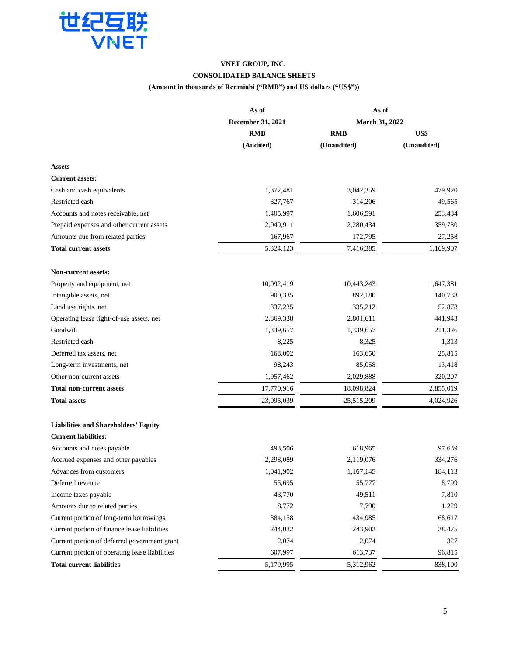

## **VNET GROUP, INC. CONSOLIDATED BALANCE SHEETS**

### **(Amount in thousands of Renminbi ("RMB") and US dollars ("US\$"))**

|                                                | As of             | As of<br>March 31, 2022 |             |  |
|------------------------------------------------|-------------------|-------------------------|-------------|--|
|                                                | December 31, 2021 |                         |             |  |
|                                                | <b>RMB</b>        | <b>RMB</b>              | US\$        |  |
|                                                | (Audited)         | (Unaudited)             | (Unaudited) |  |
| <b>Assets</b>                                  |                   |                         |             |  |
| <b>Current assets:</b>                         |                   |                         |             |  |
| Cash and cash equivalents                      | 1,372,481         | 3,042,359               | 479,920     |  |
| Restricted cash                                | 327,767           | 314,206                 | 49,565      |  |
| Accounts and notes receivable, net             | 1,405,997         | 1,606,591               | 253,434     |  |
| Prepaid expenses and other current assets      | 2,049,911         | 2,280,434               | 359,730     |  |
| Amounts due from related parties               | 167,967           | 172,795                 | 27,258      |  |
| <b>Total current assets</b>                    | 5,324,123         | 7,416,385               | 1,169,907   |  |
| <b>Non-current assets:</b>                     |                   |                         |             |  |
| Property and equipment, net                    | 10,092,419        | 10,443,243              | 1,647,381   |  |
| Intangible assets, net                         | 900,335           | 892,180                 | 140,738     |  |
| Land use rights, net                           | 337,235           | 335,212                 | 52,878      |  |
| Operating lease right-of-use assets, net       | 2,869,338         | 2,801,611               | 441,943     |  |
| Goodwill                                       | 1,339,657         | 1,339,657               | 211,326     |  |
| Restricted cash                                | 8,225             | 8,325                   | 1,313       |  |
| Deferred tax assets, net                       | 168,002           | 163,650                 | 25,815      |  |
| Long-term investments, net                     | 98,243            | 85,058                  | 13,418      |  |
| Other non-current assets                       | 1,957,462         | 2,029,888               | 320,207     |  |
| <b>Total non-current assets</b>                | 17,770,916        | 18,098,824              | 2,855,019   |  |
| <b>Total assets</b>                            | 23,095,039        | 25,515,209              | 4,024,926   |  |
| <b>Liabilities and Shareholders' Equity</b>    |                   |                         |             |  |
| <b>Current liabilities:</b>                    |                   |                         |             |  |
| Accounts and notes payable                     | 493,506           | 618,965                 | 97,639      |  |
| Accrued expenses and other payables            | 2,298,089         | 2,119,076               | 334,276     |  |
| Advances from customers                        | 1,041,902         | 1,167,145               | 184,113     |  |
| Deferred revenue                               | 55,695            | 55,777                  | 8,799       |  |
| Income taxes payable                           | 43,770            | 49,511                  | 7,810       |  |
| Amounts due to related parties                 | 8,772             | 7,790                   | 1,229       |  |
| Current portion of long-term borrowings        | 384,158           | 434,985                 | 68,617      |  |
| Current portion of finance lease liabilities   | 244,032           | 243,902                 | 38,475      |  |
| Current portion of deferred government grant   | 2,074             | 2,074                   | 327         |  |
| Current portion of operating lease liabilities | 607,997           | 613,737                 | 96,815      |  |
| <b>Total current liabilities</b>               | 5,179,995         | 5,312,962               | 838,100     |  |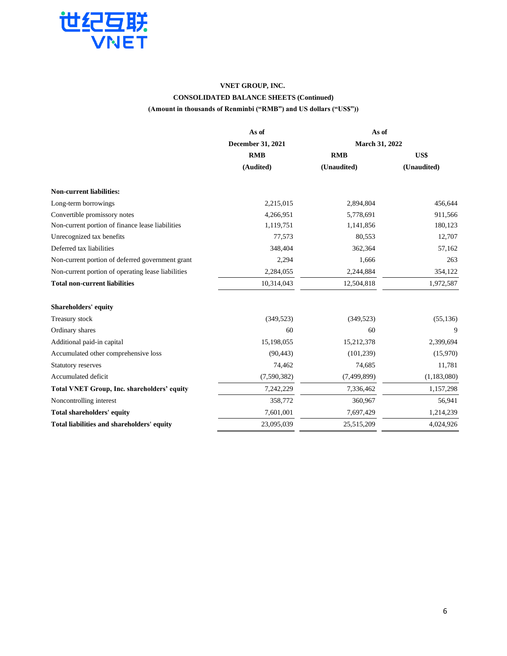

### **VNET GROUP, INC. CONSOLIDATED BALANCE SHEETS (Continued) (Amount in thousands of Renminbi ("RMB") and US dollars ("US\$"))**

|                                                    | As of             | As of          |             |  |
|----------------------------------------------------|-------------------|----------------|-------------|--|
|                                                    | December 31, 2021 | March 31, 2022 |             |  |
|                                                    | <b>RMB</b>        | <b>RMB</b>     | US\$        |  |
|                                                    | (Audited)         | (Unaudited)    | (Unaudited) |  |
| <b>Non-current liabilities:</b>                    |                   |                |             |  |
| Long-term borrowings                               | 2,215,015         | 2,894,804      | 456,644     |  |
| Convertible promissory notes                       | 4,266,951         | 5,778,691      | 911,566     |  |
| Non-current portion of finance lease liabilities   | 1,119,751         | 1,141,856      | 180,123     |  |
| Unrecognized tax benefits                          | 77,573            | 80,553         | 12,707      |  |
| Deferred tax liabilities                           | 348,404           | 362,364        | 57,162      |  |
| Non-current portion of deferred government grant   | 2,294             | 1,666          | 263         |  |
| Non-current portion of operating lease liabilities | 2,284,055         | 2,244,884      | 354,122     |  |
| <b>Total non-current liabilities</b>               | 10,314,043        | 12,504,818     | 1,972,587   |  |
| <b>Shareholders' equity</b>                        |                   |                |             |  |
| Treasury stock                                     | (349, 523)        | (349, 523)     | (55, 136)   |  |
| Ordinary shares                                    | 60                | 60             | 9           |  |
| Additional paid-in capital                         | 15,198,055        | 15,212,378     | 2,399,694   |  |
| Accumulated other comprehensive loss               | (90, 443)         | (101, 239)     | (15,970)    |  |
| <b>Statutory reserves</b>                          | 74,462            | 74,685         | 11,781      |  |
| Accumulated deficit                                | (7,590,382)       | (7, 499, 899)  | (1,183,080) |  |
| <b>Total VNET Group, Inc. shareholders' equity</b> | 7,242,229         | 7,336,462      | 1,157,298   |  |
| Noncontrolling interest                            | 358,772           | 360,967        | 56,941      |  |
| Total shareholders' equity                         | 7,601,001         | 7,697,429      | 1,214,239   |  |
| Total liabilities and shareholders' equity         | 23,095,039        | 25,515,209     | 4,024,926   |  |
|                                                    |                   |                |             |  |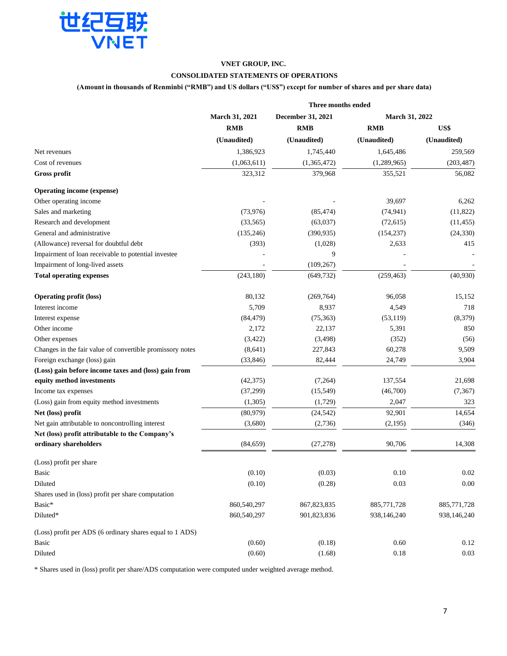

### **VNET GROUP, INC. CONSOLIDATED STATEMENTS OF OPERATIONS**

#### **(Amount in thousands of Renminbi ("RMB") and US dollars ("US\$") except for number of shares and per share data)**

|                                                           | Three months ended |                   |                |             |
|-----------------------------------------------------------|--------------------|-------------------|----------------|-------------|
|                                                           | March 31, 2021     | December 31, 2021 | March 31, 2022 |             |
|                                                           | <b>RMB</b>         | <b>RMB</b>        | <b>RMB</b>     | US\$        |
|                                                           | (Unaudited)        | (Unaudited)       | (Unaudited)    | (Unaudited) |
| Net revenues                                              | 1,386,923          | 1,745,440         | 1,645,486      | 259,569     |
| Cost of revenues                                          | (1,063,611)        | (1,365,472)       | (1,289,965)    | (203, 487)  |
| <b>Gross profit</b>                                       | 323,312            | 379,968           | 355,521        | 56,082      |
| <b>Operating income (expense)</b>                         |                    |                   |                |             |
| Other operating income                                    |                    |                   | 39,697         | 6,262       |
| Sales and marketing                                       | (73,976)           | (85, 474)         | (74, 941)      | (11,822)    |
| Research and development                                  | (33, 565)          | (63,037)          | (72, 615)      | (11, 455)   |
| General and administrative                                | (135, 246)         | (390, 935)        | (154, 237)     | (24, 330)   |
| (Allowance) reversal for doubtful debt                    | (393)              | (1,028)           | 2,633          | 415         |
| Impairment of loan receivable to potential investee       |                    | 9                 |                |             |
| Impairment of long-lived assets                           |                    | (109, 267)        |                |             |
| <b>Total operating expenses</b>                           | (243, 180)         | (649, 732)        | (259, 463)     | (40, 930)   |
| <b>Operating profit (loss)</b>                            | 80,132             | (269, 764)        | 96,058         | 15,152      |
| Interest income                                           | 5,709              | 8,937             | 4,549          | 718         |
| Interest expense                                          | (84, 479)          | (75, 363)         | (53, 119)      | (8,379)     |
| Other income                                              | 2,172              | 22,137            | 5,391          | 850         |
| Other expenses                                            | (3, 422)           | (3, 498)          | (352)          | (56)        |
| Changes in the fair value of convertible promissory notes | (8,641)            | 227,843           | 60,278         | 9,509       |
| Foreign exchange (loss) gain                              | (33, 846)          | 82,444            | 24,749         | 3,904       |
| (Loss) gain before income taxes and (loss) gain from      |                    |                   |                |             |
| equity method investments                                 | (42, 375)          | (7,264)           | 137,554        | 21,698      |
| Income tax expenses                                       | (37,299)           | (15, 549)         | (46,700)       | (7, 367)    |
| (Loss) gain from equity method investments                | (1,305)            | (1,729)           | 2,047          | 323         |
| Net (loss) profit                                         | (80, 979)          | (24, 542)         | 92,901         | 14,654      |
| Net gain attributable to noncontrolling interest          | (3,680)            | (2,736)           | (2,195)        | (346)       |
| Net (loss) profit attributable to the Company's           |                    |                   |                |             |
| ordinary shareholders                                     | (84, 659)          | (27, 278)         | 90,706         | 14,308      |
| (Loss) profit per share                                   |                    |                   |                |             |
| Basic                                                     | (0.10)             | (0.03)            | 0.10           | 0.02        |
| Diluted                                                   | (0.10)             | (0.28)            | 0.03           | $0.00\,$    |
| Shares used in (loss) profit per share computation        |                    |                   |                |             |
| Basic*                                                    | 860,540,297        | 867, 823, 835     | 885,771,728    | 885,771,728 |
| Diluted*                                                  | 860,540,297        | 901,823,836       | 938,146,240    | 938,146,240 |
| (Loss) profit per ADS (6 ordinary shares equal to 1 ADS)  |                    |                   |                |             |
| Basic                                                     | (0.60)             | (0.18)            | 0.60           | 0.12        |
| Diluted                                                   | (0.60)             | (1.68)            | 0.18           | 0.03        |

\* Shares used in (loss) profit per share/ADS computation were computed under weighted average method.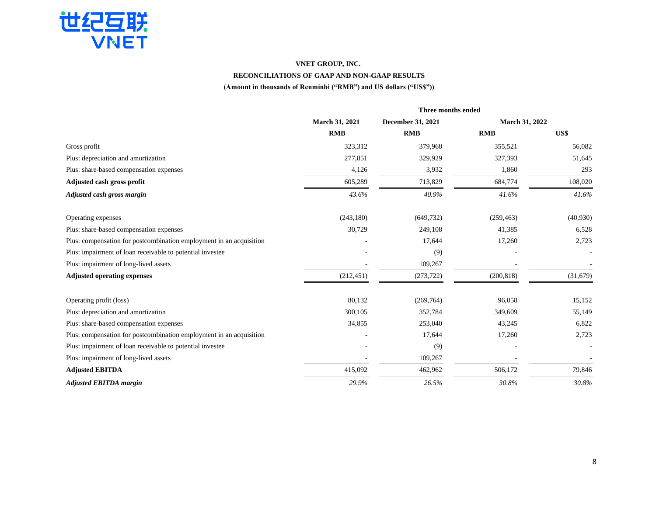

# **VNET GROUP, INC. RECONCILIATIONS OF GAAP AND NON-GAAP RESULTS**

## **(Amount in thousands of Renminbi ("RMB") and US dollars ("US\$"))**

|                                                                     | Three months ended |                          |                |          |
|---------------------------------------------------------------------|--------------------|--------------------------|----------------|----------|
|                                                                     | March 31, 2021     | <b>December 31, 2021</b> | March 31, 2022 |          |
|                                                                     | <b>RMB</b>         | <b>RMB</b>               | <b>RMB</b>     | US\$     |
| Gross profit                                                        | 323,312            | 379,968                  | 355,521        | 56,082   |
| Plus: depreciation and amortization                                 | 277,851            | 329,929                  | 327,393        | 51,645   |
| Plus: share-based compensation expenses                             | 4,126              | 3,932                    | 1,860          | 293      |
| Adjusted cash gross profit                                          | 605,289            | 713,829                  | 684,774        | 108,020  |
| Adjusted cash gross margin                                          | 43.6%              | 40.9%                    | 41.6%          | 41.6%    |
| Operating expenses                                                  | (243, 180)         | (649, 732)               | (259, 463)     | (40,930) |
| Plus: share-based compensation expenses                             | 30,729             | 249,108                  | 41,385         | 6,528    |
| Plus: compensation for postcombination employment in an acquisition |                    | 17,644                   | 17,260         | 2,723    |
| Plus: impairment of loan receivable to potential investee           |                    | (9)                      |                |          |
| Plus: impairment of long-lived assets                               |                    | 109,267                  |                |          |
| <b>Adjusted operating expenses</b>                                  | (212, 451)         | (273, 722)               | (200, 818)     | (31,679) |
| Operating profit (loss)                                             | 80,132             | (269,764)                | 96,058         | 15,152   |
| Plus: depreciation and amortization                                 | 300,105            | 352,784                  | 349,609        | 55,149   |
| Plus: share-based compensation expenses                             | 34,855             | 253,040                  | 43,245         | 6,822    |
| Plus: compensation for postcombination employment in an acquisition |                    | 17,644                   | 17,260         | 2,723    |
| Plus: impairment of loan receivable to potential investee           |                    | (9)                      |                |          |
| Plus: impairment of long-lived assets                               |                    | 109,267                  |                |          |
| <b>Adjusted EBITDA</b>                                              | 415,092            | 462,962                  | 506,172        | 79,846   |
| <b>Adjusted EBITDA margin</b>                                       | 29.9%              | 26.5%                    | 30.8%          | 30.8%    |